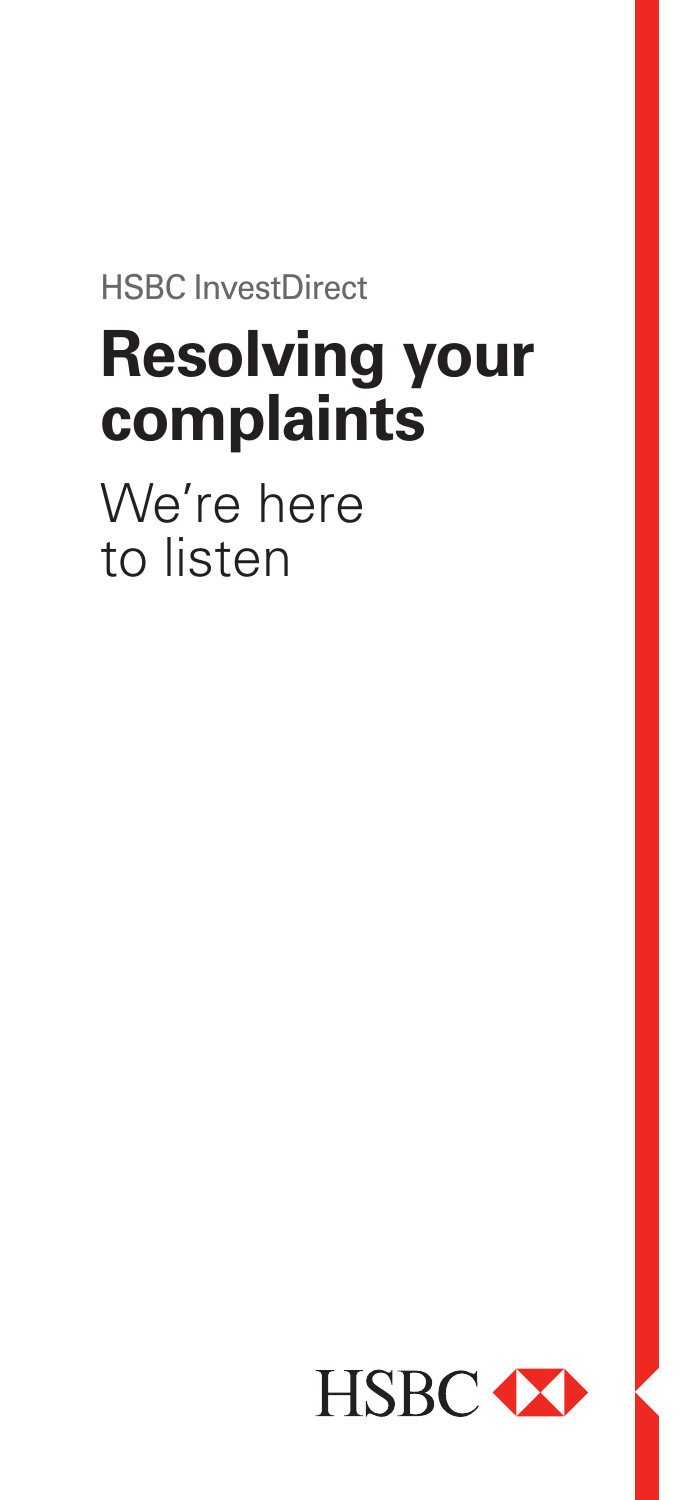HSBC InvestDirect

# **Resolving your complaints**

We're here to listen

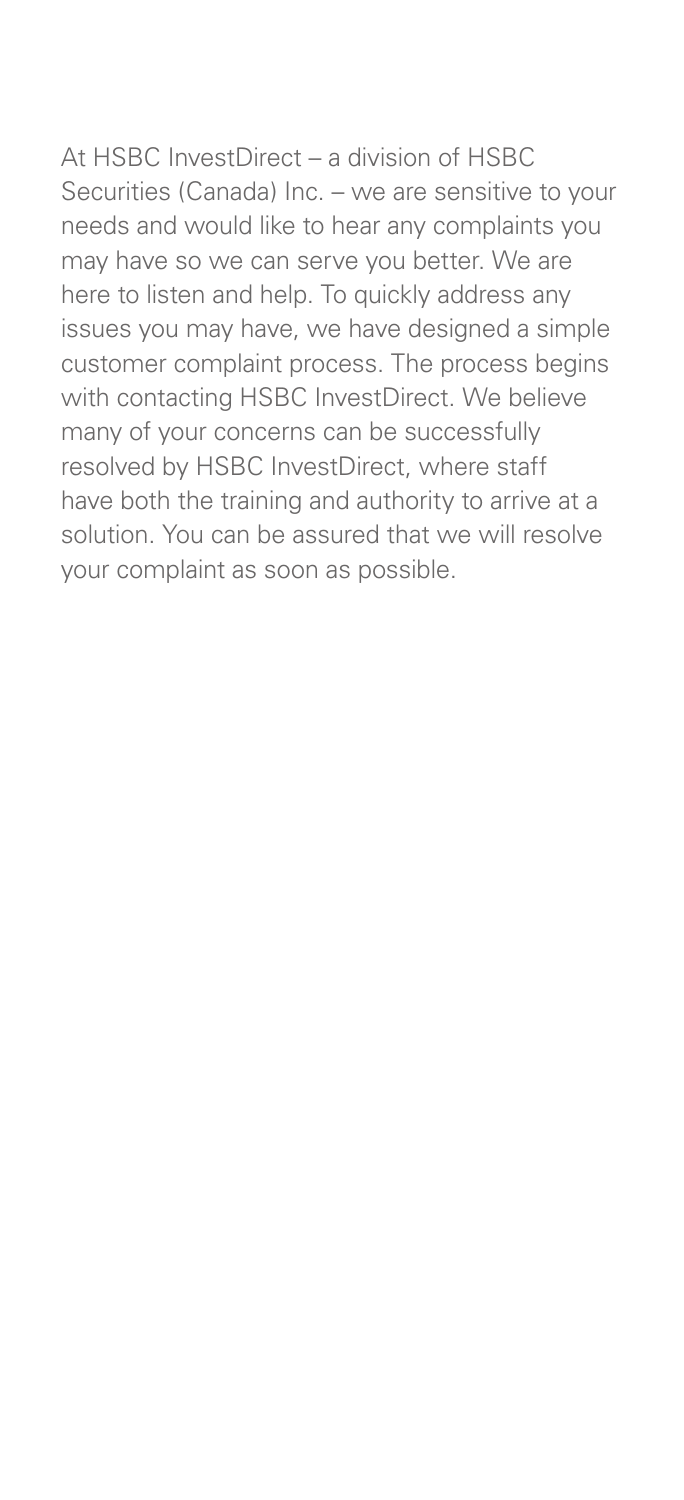At HSBC InvestDirect – a division of HSBC Securities (Canada) Inc. – we are sensitive to your needs and would like to hear any complaints you may have so we can serve you better. We are here to listen and help. To quickly address any issues you may have, we have designed a simple customer complaint process. The process begins with contacting HSBC InvestDirect. We believe many of your concerns can be successfully resolved by HSBC InvestDirect, where staff have both the training and authority to arrive at a solution. You can be assured that we will resolve your complaint as soon as possible.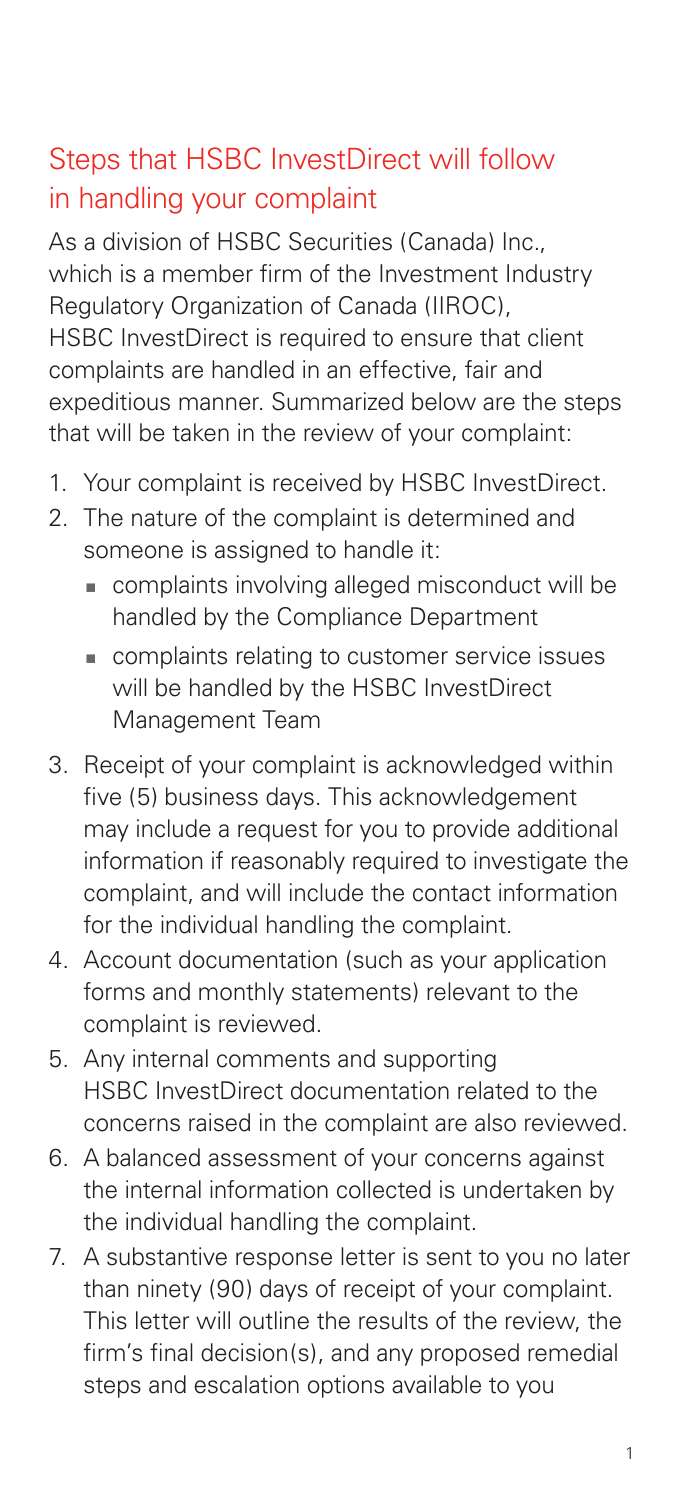# Steps that HSBC InvestDirect will follow in handling your complaint

As a division of HSBC Securities (Canada) Inc., which is a member firm of the Investment Industry Regulatory Organization of Canada (IIROC), HSBC InvestDirect is required to ensure that client complaints are handled in an effective, fair and expeditious manner. Summarized below are the steps that will be taken in the review of your complaint:

- 1. Your complaint is received by HSBC InvestDirect.
- 2. The nature of the complaint is determined and someone is assigned to handle it:
	- complaints involving alleged misconduct will be handled by the Compliance Department
	- complaints relating to customer service issues will be handled by the HSBC InvestDirect Management Team
- 3. Receipt of your complaint is acknowledged within five (5) business days. This acknowledgement may include a request for you to provide additional information if reasonably required to investigate the complaint, and will include the contact information for the individual handling the complaint.
- 4. Account documentation (such as your application forms and monthly statements) relevant to the complaint is reviewed.
- 5. Any internal comments and supporting HSBC InvestDirect documentation related to the concerns raised in the complaint are also reviewed.
- 6. A balanced assessment of your concerns against the internal information collected is undertaken by the individual handling the complaint.
- 7. A substantive response letter is sent to you no later than ninety (90) days of receipt of your complaint. This letter will outline the results of the review, the firm's final decision(s), and any proposed remedial steps and escalation options available to you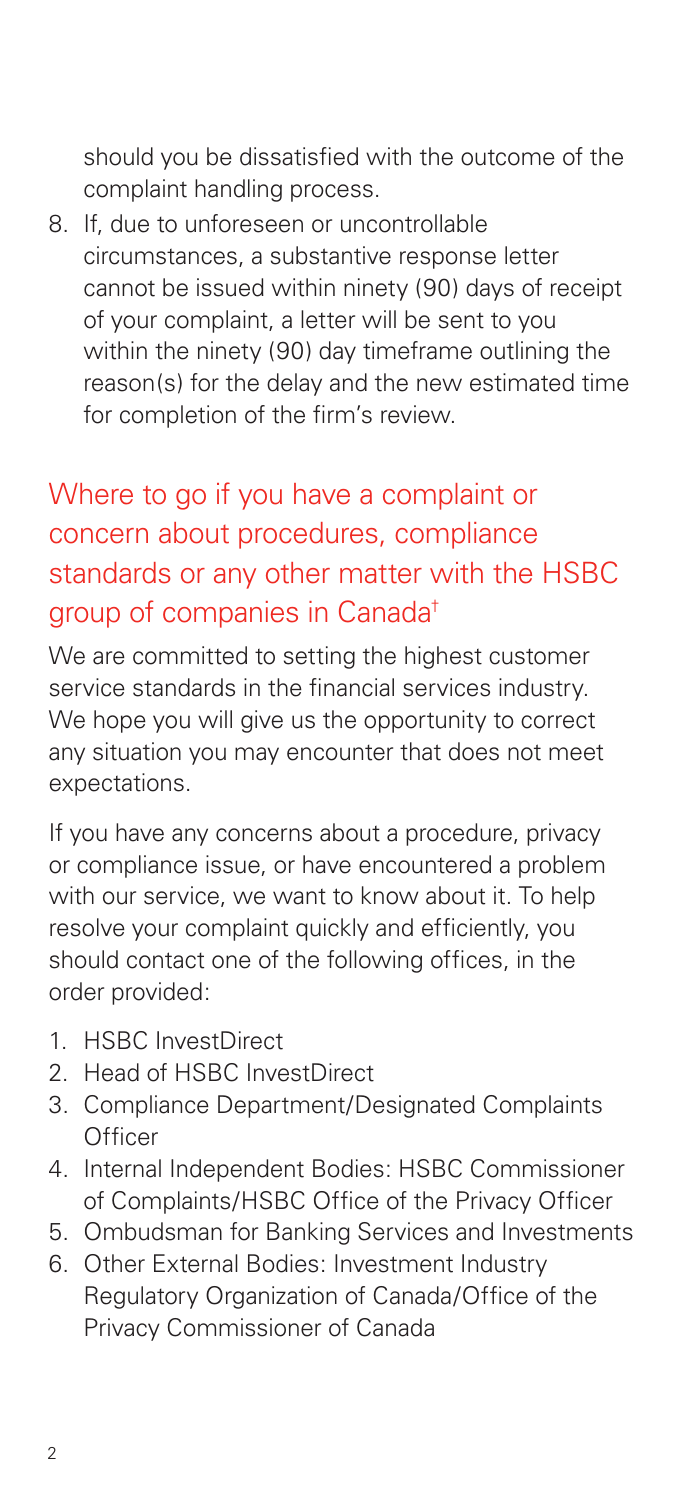should you be dissatisfied with the outcome of the complaint handling process.

8. If, due to unforeseen or uncontrollable circumstances, a substantive response letter cannot be issued within ninety (90) days of receipt of your complaint, a letter will be sent to you within the ninety (90) day timeframe outlining the reason(s) for the delay and the new estimated time for completion of the firm's review.

# Where to go if you have a complaint or concern about procedures, compliance standards or any other matter with the HSBC group of companies in Canada†

We are committed to setting the highest customer service standards in the financial services industry. We hope you will give us the opportunity to correct any situation you may encounter that does not meet expectations.

If you have any concerns about a procedure, privacy or compliance issue, or have encountered a problem with our service, we want to know about it. To help resolve your complaint quickly and efficiently, you should contact one of the following offices, in the order provided:

- 1. HSBC InvestDirect
- 2. Head of HSBC InvestDirect
- 3. Compliance Department/Designated Complaints **Officer**
- 4. Internal Independent Bodies: HSBC Commissioner of Complaints/HSBC Office of the Privacy Officer
- 5. Ombudsman for Banking Services and Investments
- 6. Other External Bodies: Investment Industry Regulatory Organization of Canada/Office of the Privacy Commissioner of Canada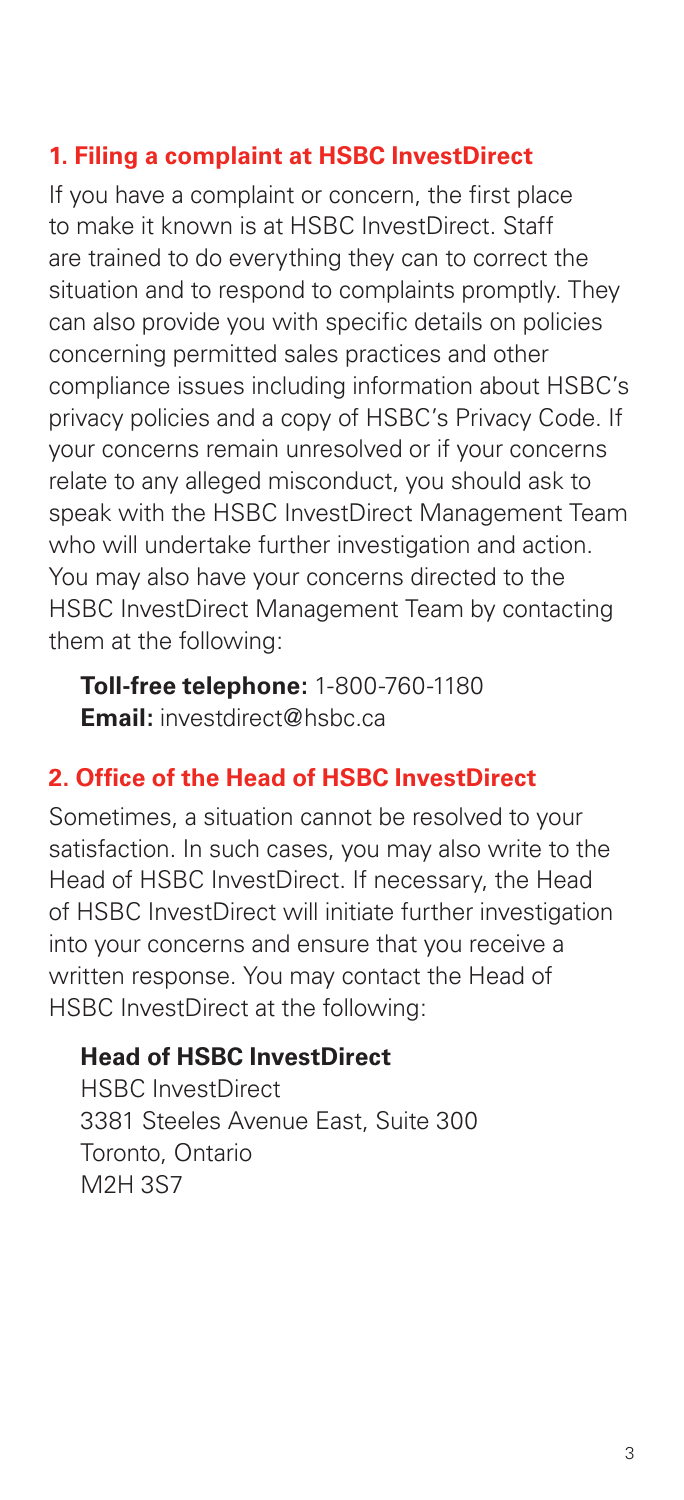#### **1. Filing a complaint at HSBC InvestDirect**

If you have a complaint or concern, the first place to make it known is at HSBC InvestDirect. Staff are trained to do everything they can to correct the situation and to respond to complaints promptly. They can also provide you with specific details on policies concerning permitted sales practices and other compliance issues including information about HSBC's privacy policies and a copy of HSBC's Privacy Code. If your concerns remain unresolved or if your concerns relate to any alleged misconduct, you should ask to speak with the HSBC InvestDirect Management Team who will undertake further investigation and action. You may also have your concerns directed to the HSBC InvestDirect Management Team by contacting them at the following:

**Toll-free telephone:** 1-800-760-1180 **Email:** investdirect@hsbc.ca

#### **2. Office of the Head of HSBC InvestDirect**

Sometimes, a situation cannot be resolved to your satisfaction. In such cases, you may also write to the Head of HSBC InvestDirect. If necessary, the Head of HSBC InvestDirect will initiate further investigation into your concerns and ensure that you receive a written response. You may contact the Head of HSBC InvestDirect at the following:

#### **Head of HSBC InvestDirect**

HSBC InvestDirect 3381 Steeles Avenue East, Suite 300 Toronto, Ontario M2H 3S7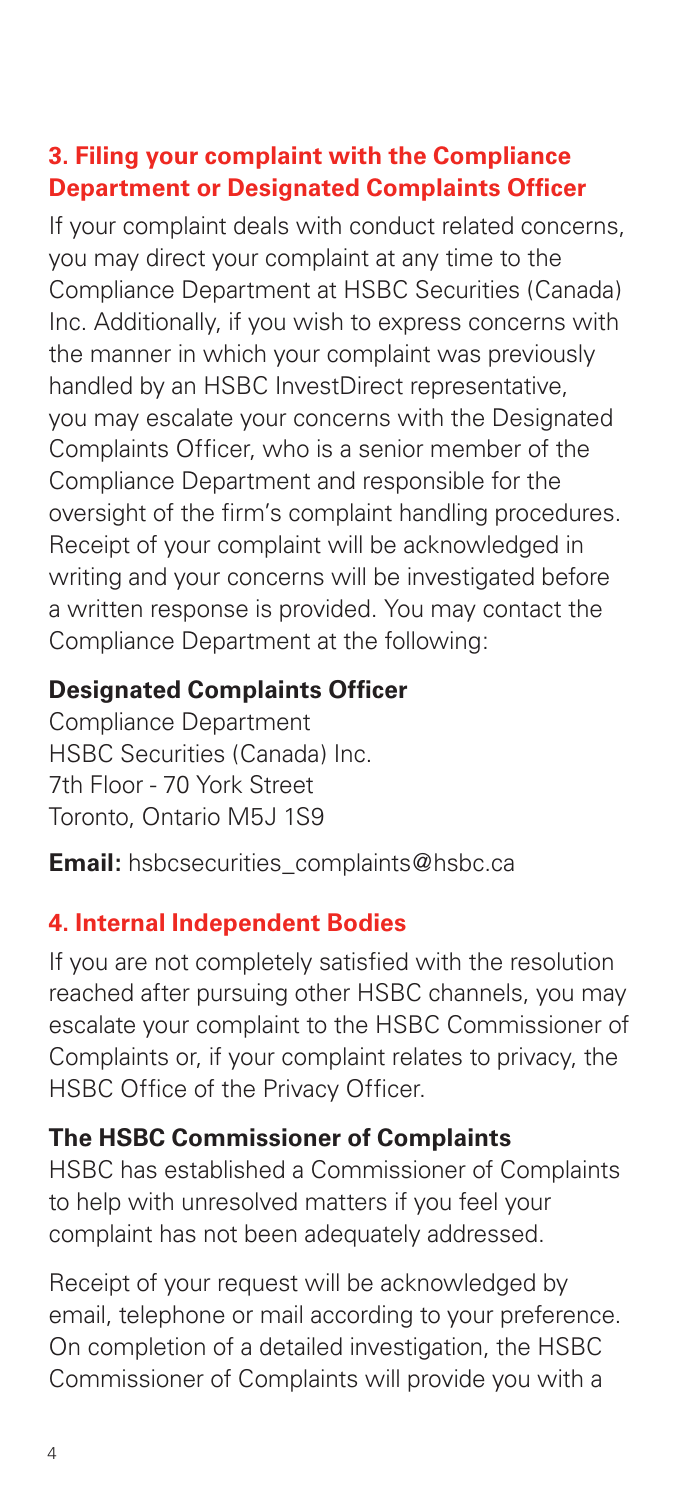## **3. Filing your complaint with the Compliance Department or Designated Complaints Officer**

If your complaint deals with conduct related concerns, you may direct your complaint at any time to the Compliance Department at HSBC Securities (Canada) Inc. Additionally, if you wish to express concerns with the manner in which your complaint was previously handled by an HSBC InvestDirect representative, you may escalate your concerns with the Designated Complaints Officer, who is a senior member of the Compliance Department and responsible for the oversight of the firm's complaint handling procedures. Receipt of your complaint will be acknowledged in writing and your concerns will be investigated before a written response is provided. You may contact the Compliance Department at the following:

#### **Designated Complaints Officer**

Compliance Department HSBC Securities (Canada) Inc. 7th Floor - 70 York Street Toronto, Ontario M5J 1S9

**Email:** hsbcsecurities\_complaints@hsbc.ca

## **4. Internal Independent Bodies**

If you are not completely satisfied with the resolution reached after pursuing other HSBC channels, you may escalate your complaint to the HSBC Commissioner of Complaints or, if your complaint relates to privacy, the HSBC Office of the Privacy Officer.

## **The HSBC Commissioner of Complaints**

HSBC has established a Commissioner of Complaints to help with unresolved matters if you feel your complaint has not been adequately addressed.

Receipt of your request will be acknowledged by email, telephone or mail according to your preference. On completion of a detailed investigation, the HSBC Commissioner of Complaints will provide you with a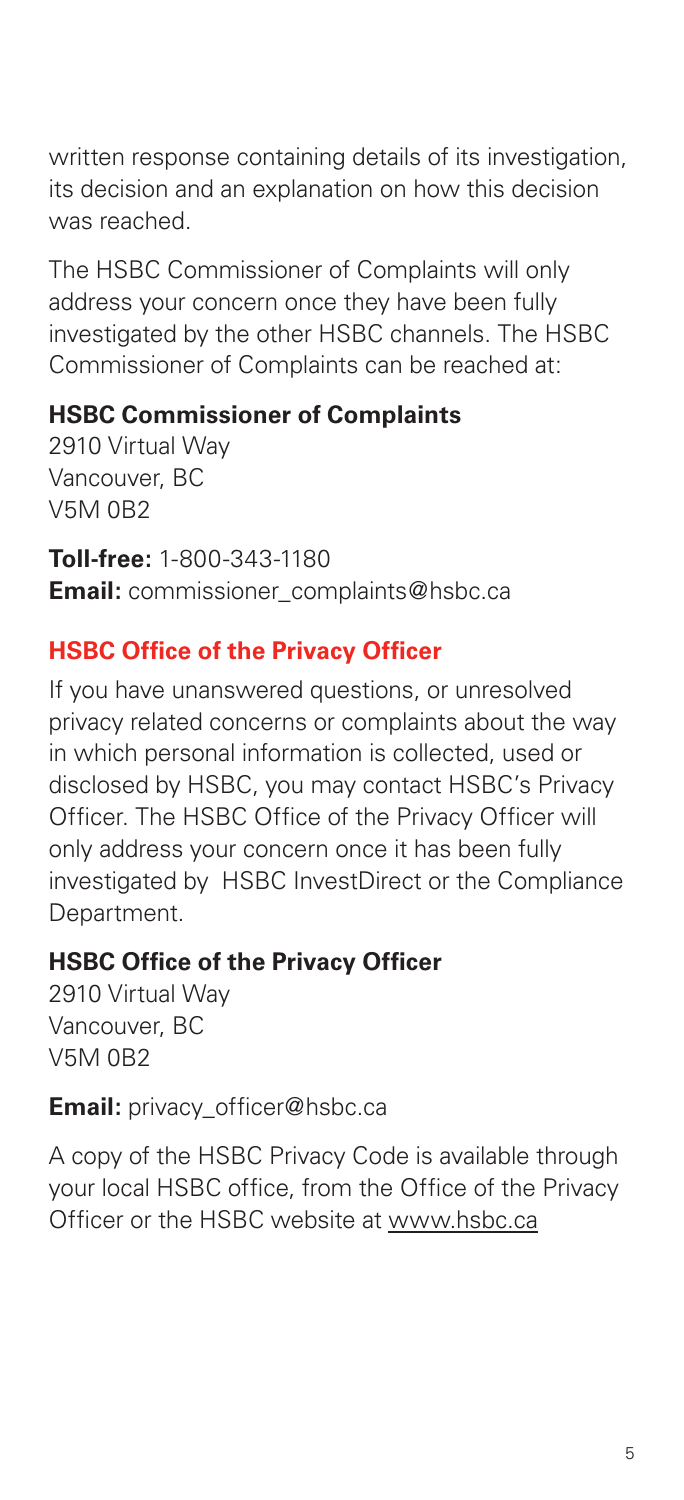written response containing details of its investigation, its decision and an explanation on how this decision was reached.

The HSBC Commissioner of Complaints will only address your concern once they have been fully investigated by the other HSBC channels. The HSBC Commissioner of Complaints can be reached at:

#### **HSBC Commissioner of Complaints**

2910 Virtual Way Vancouver, BC V5M 0B2

**Toll-free:** 1-800-343-1180 **Email:** commissioner\_complaints@hsbc.ca

#### **HSBC Office of the Privacy Officer**

If you have unanswered questions, or unresolved privacy related concerns or complaints about the way in which personal information is collected, used or disclosed by HSBC, you may contact HSBC's Privacy Officer. The HSBC Office of the Privacy Officer will only address your concern once it has been fully investigated by HSBC InvestDirect or the Compliance Department.

#### **HSBC Office of the Privacy Officer**

2910 Virtual Way Vancouver, BC V5M 0B2

#### **Email:** privacy\_officer@hsbc.ca

A copy of the HSBC Privacy Code is available through your local HSBC office, from the Office of the Privacy Officer or the HSBC website at www.hsbc.ca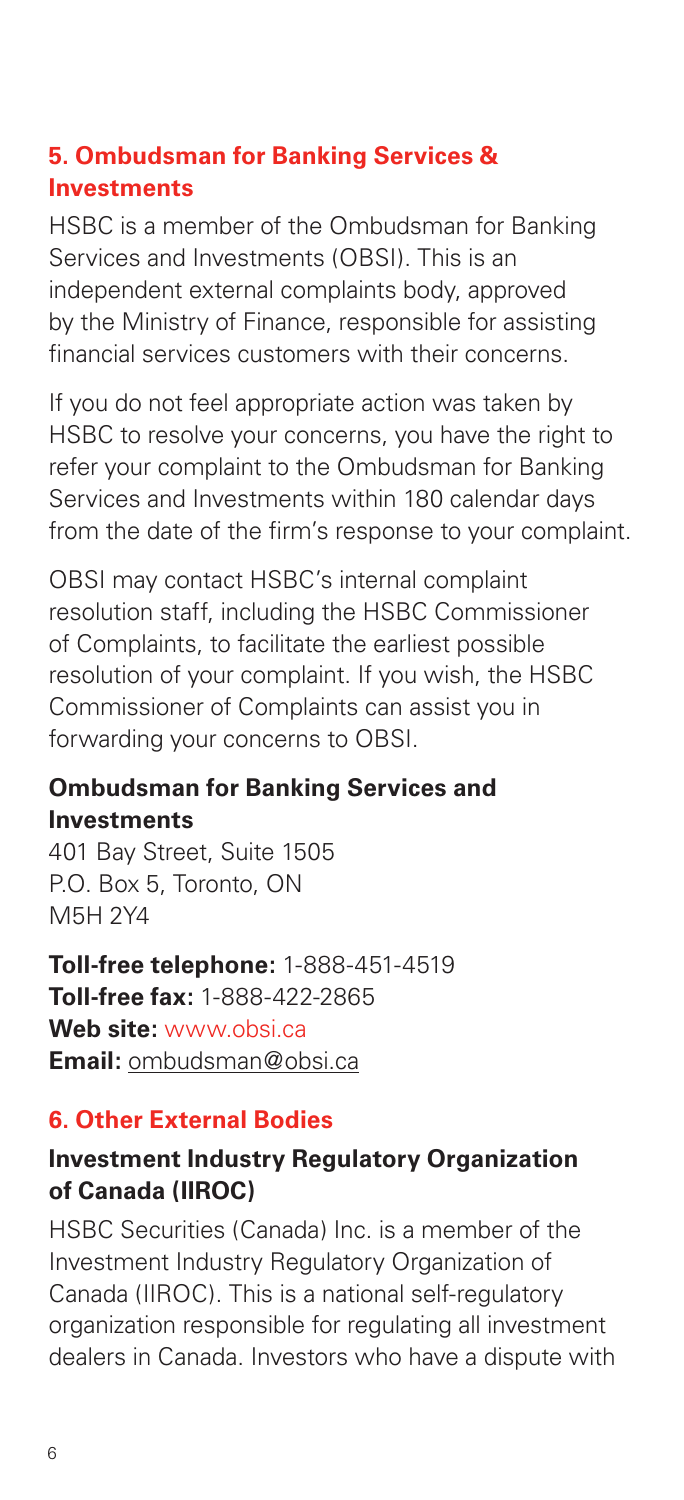## **5. Ombudsman for Banking Services & Investments**

HSBC is a member of the Ombudsman for Banking Services and Investments (OBSI). This is an independent external complaints body, approved by the Ministry of Finance, responsible for assisting financial services customers with their concerns.

If you do not feel appropriate action was taken by HSBC to resolve your concerns, you have the right to refer your complaint to the Ombudsman for Banking Services and Investments within 180 calendar days from the date of the firm's response to your complaint.

OBSI may contact HSBC's internal complaint resolution staff, including the HSBC Commissioner of Complaints, to facilitate the earliest possible resolution of your complaint. If you wish, the HSBC Commissioner of Complaints can assist you in forwarding your concerns to OBSI.

## **Ombudsman for Banking Services and Investments**

401 Bay Street, Suite 1505 P.O. Box 5, Toronto, ON M5H 2Y4

**Toll-free telephone:** 1-888-451-4519 **Toll-free fax:** 1-888-422-2865 **Web site:** www.obsi.ca **Email:** ombudsman@obsi.ca

## **6. Other External Bodies**

## **Investment Industry Regulatory Organization of Canada (IIROC)**

HSBC Securities (Canada) Inc. is a member of the Investment Industry Regulatory Organization of Canada (IIROC). This is a national self-regulatory organization responsible for regulating all investment dealers in Canada. Investors who have a dispute with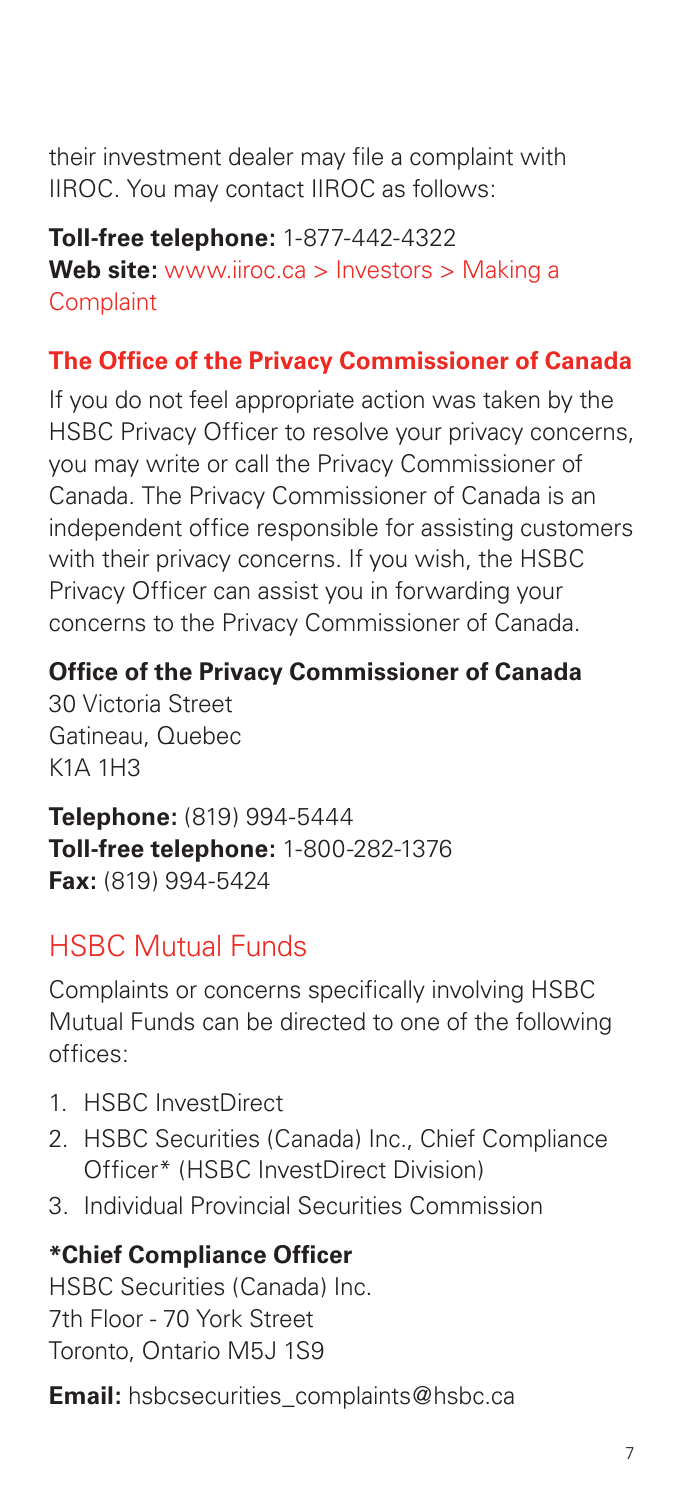their investment dealer may file a complaint with IIROC. You may contact IIROC as follows:

**Toll-free telephone:** 1-877-442-4322 **Web site:** www.iiroc.ca > Investors > Making a **Complaint** 

## **The Office of the Privacy Commissioner of Canada**

If you do not feel appropriate action was taken by the HSBC Privacy Officer to resolve your privacy concerns, you may write or call the Privacy Commissioner of Canada. The Privacy Commissioner of Canada is an independent office responsible for assisting customers with their privacy concerns. If you wish, the HSBC Privacy Officer can assist you in forwarding your concerns to the Privacy Commissioner of Canada.

## **Office of the Privacy Commissioner of Canada**

30 Victoria Street Gatineau, Quebec  $K1\Delta$  1H3

**Telephone:** (819) 994-5444 **Toll-free telephone:** 1-800-282-1376 **Fax:** (819) 994-5424

## HSBC Mutual Funds

Complaints or concerns specifically involving HSBC Mutual Funds can be directed to one of the following offices:

- 1. HSBC InvestDirect
- 2. HSBC Securities (Canada) Inc., Chief Compliance Officer\* (HSBC InvestDirect Division)
- 3. Individual Provincial Securities Commission

#### **\*Chief Compliance Officer**

HSBC Securities (Canada) Inc. 7th Floor - 70 York Street Toronto, Ontario M5J 1S9

**Email:** hsbcsecurities\_complaints@hsbc.ca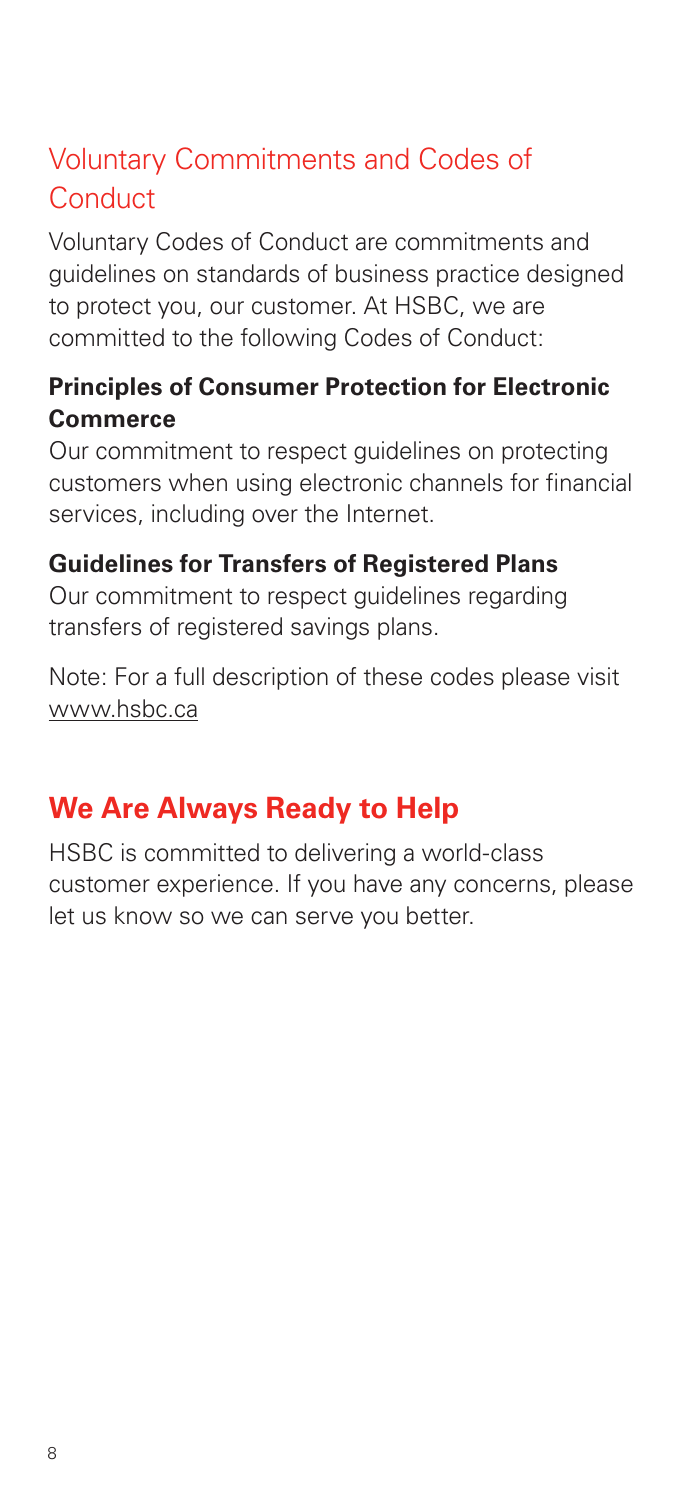# Voluntary Commitments and Codes of **Conduct**

Voluntary Codes of Conduct are commitments and guidelines on standards of business practice designed to protect you, our customer. At HSBC, we are committed to the following Codes of Conduct:

## **Principles of Consumer Protection for Electronic Commerce**

Our commitment to respect guidelines on protecting customers when using electronic channels for financial services, including over the Internet.

## **Guidelines for Transfers of Registered Plans**

Our commitment to respect guidelines regarding transfers of registered savings plans.

Note: For a full description of these codes please visit www.hsbc.ca

# **We Are Always Ready to Help**

HSBC is committed to delivering a world-class customer experience. If you have any concerns, please let us know so we can serve you better.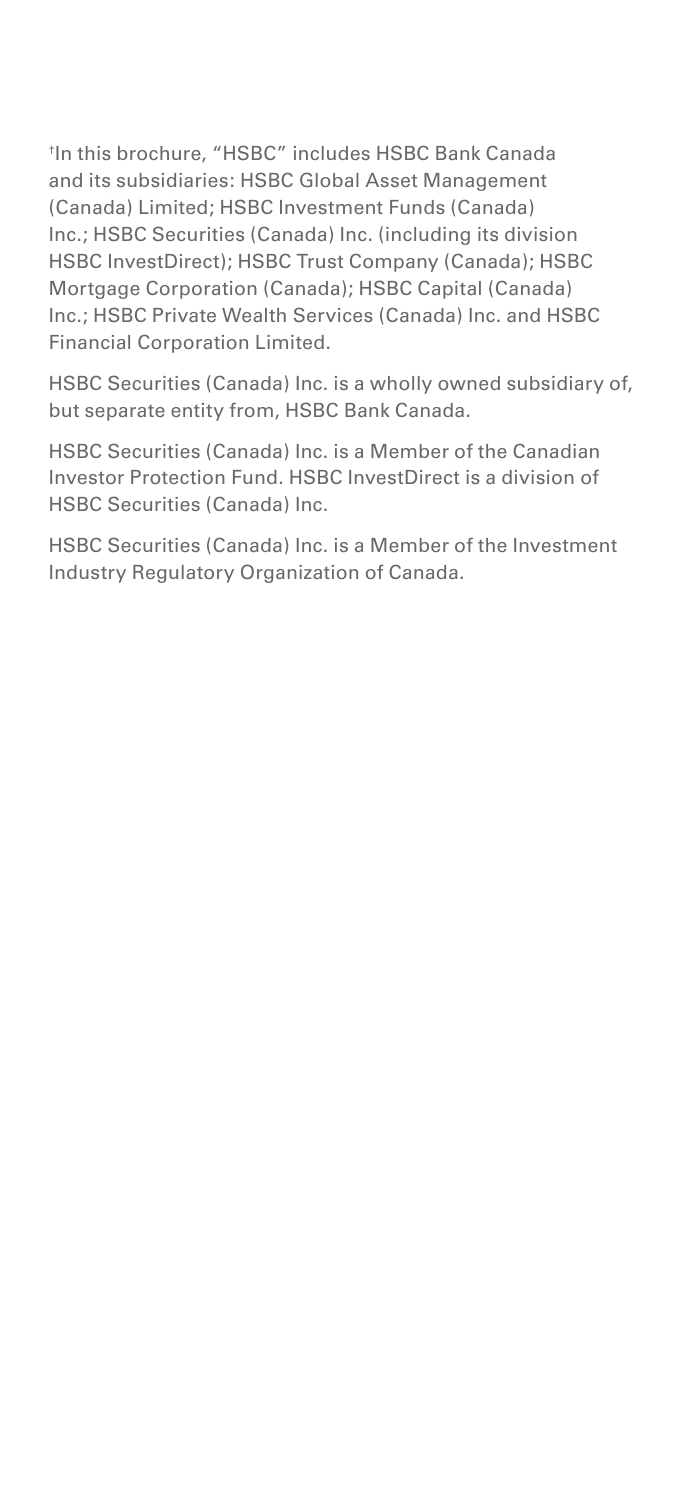† In this brochure, "HSBC" includes HSBC Bank Canada and its subsidiaries: HSBC Global Asset Management (Canada) Limited; HSBC Investment Funds (Canada) Inc.; HSBC Securities (Canada) Inc. (including its division HSBC InvestDirect); HSBC Trust Company (Canada); HSBC Mortgage Corporation (Canada); HSBC Capital (Canada) Inc.; HSBC Private Wealth Services (Canada) Inc. and HSBC Financial Corporation Limited.

HSBC Securities (Canada) Inc. is a wholly owned subsidiary of, but separate entity from, HSBC Bank Canada.

HSBC Securities (Canada) Inc. is a Member of the Canadian Investor Protection Fund. HSBC InvestDirect is a division of HSBC Securities (Canada) Inc.

HSBC Securities (Canada) Inc. is a Member of the Investment Industry Regulatory Organization of Canada.